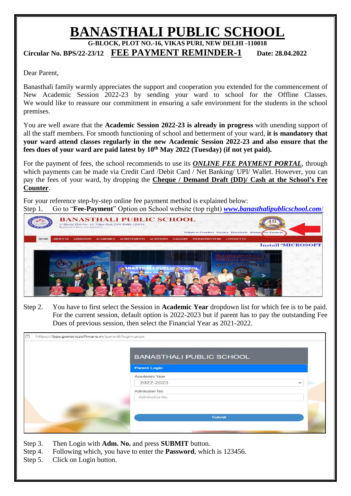## **BANASTHALI PUBLIC SCHOOL**

**G-BLOCK, PLOT NO.-16, VIKAS PURI, NEW DELHI -110018**

**Circular No. BPS/22-23/12 FEE PAYMENT REMINDER-1 Date: 28.04.2022** 

Dear Parent,

Banasthali family warmly appreciates the support and cooperation you extended for the commencement of New Academic Session 2022-23 by sending your ward to school for the Offline Classes. We would like to reassure our commitment in ensuring a safe environment for the students in the school premises.

You are well aware that the **Academic Session 2022-23 is already in progress** with unending support of all the staff members. For smooth functioning of school and betterment of your ward, **it is mandatory that your ward attend classes regularly in the new Academic Session 2022-23 and also ensure that the fees dues of your ward are paid latest by 10th May 2022 (Tuesday) (if not yet paid).**

For the payment of fees, the school recommends to use its *ONLINE FEE PAYMENT PORTAL*, through which payments can be made via Credit Card /Debit Card / Net Banking/ UPI/ Wallet. However, you can pay the fees of your ward, by dropping the **Cheque / Demand Draft (DD)/ Cash at the School's Fee Counter**.

For your reference step-by-step online fee payment method is explained below: Step 1. Go to "**Fee-Payment**" Option on School website (top right) *[www.banasthalipublicschool.com](http://www.banasthalipublicschool.com/)*/



Step 2. You have to first select the Session in **Academic Year** dropdown list for which fee is to be paid. For the current session, default option is 2022-2023 but if parent has to pay the outstanding Fee Dues of previous session, then select the Financial Year as 2021-2022.

| Ĝ<br>https://bps.genericsoftware.in/parent/login.aspx |                                 |              |
|-------------------------------------------------------|---------------------------------|--------------|
|                                                       | <b>BANASTHALI PUBLIC SCHOOL</b> |              |
|                                                       | <b>Parent Login</b>             |              |
|                                                       | Academic Year                   |              |
|                                                       | 2022-2023                       | $\checkmark$ |
|                                                       | Admission No.                   |              |
|                                                       | Admission No.                   |              |
|                                                       |                                 |              |
|                                                       | Submit                          |              |
|                                                       |                                 |              |
|                                                       |                                 |              |

- Step 3. Then Login with **Adm. No.** and press **SUBMIT** button.
- Step 4. Following which, you have to enter the **Password**, which is 123456.
- Step 5. Click on Login button.